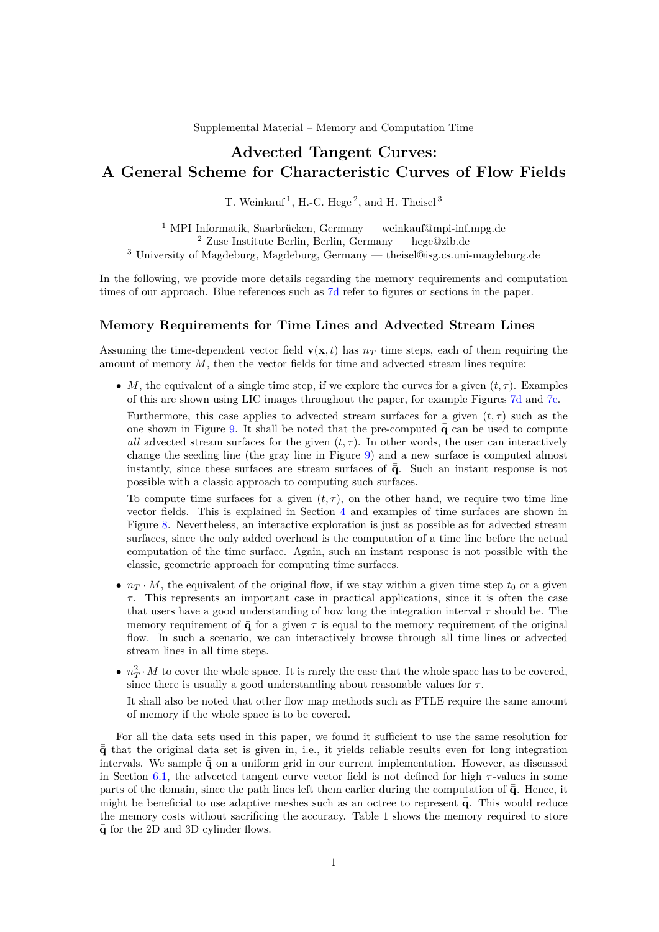Supplemental Material – Memory and Computation Time

# **Advected Tangent Curves: A General Scheme for Characteristic Curves of Flow Fields**

T. Weinkauf<sup>1</sup>, H.-C. Hege<sup>2</sup>, and H. Theisel<sup>3</sup>

<sup>1</sup> MPI Informatik, Saarbrücken, Germany — weinkauf@mpi-inf.mpg.de <sup>2</sup> Zuse Institute Berlin, Berlin, Germany — hege@zib.de <sup>3</sup> University of Magdeburg, Magdeburg, Germany — theisel@isg.cs.uni-magdeburg.de

In the following, we provide more details regarding the memory requirements and computation times of our approach. Blue references such as 7d refer to figures or sections in the paper.

#### **Memory Requirements for Time Lines and Advected Stream Lines**

Assuming the time-dependent vector field  $\mathbf{v}(\mathbf{x}, t)$  has  $n<sub>T</sub>$  time steps, each of them requiring the amount of memory *M*, then the vector fields for time and advected stream lines require:

• *M*, the equivalent of a single time step, if we explore the curves for a given  $(t, \tau)$ . Examples of this are shown using LIC images throughout the paper, for example Figures 7d and 7e.

Furthermore, this case applies to advected stream surfaces for a given  $(t, \tau)$  such as the one shown in Figure 9. It shall be noted that the pre-computed  $\bar{\bar{q}}$  can be used to compute *all* advected stream surfaces for the given  $(t, \tau)$ . In other words, the user can interactively change the seeding line (the gray line in Figure 9) and a new surface is computed almost instantly, since these surfaces are stream surfaces of  $\bar{\bar{q}}$ . Such an instant response is not possible with a classic approach to computing such surfaces.

To compute time surfaces for a given  $(t, \tau)$ , on the other hand, we require two time line vector fields. This is explained in Section 4 and examples of time surfaces are shown in Figure 8. Nevertheless, an interactive exploration is just as possible as for advected stream surfaces, since the only added overhead is the computation of a time line before the actual computation of the time surface. Again, such an instant response is not possible with the classic, geometric approach for computing time surfaces.

- $n_T \cdot M$ , the equivalent of the original flow, if we stay within a given time step  $t_0$  or a given *τ* . This represents an important case in practical applications, since it is often the case that users have a good understanding of how long the integration interval *τ* should be. The memory requirement of  $\bar{\bar{q}}$  for a given  $\tau$  is equal to the memory requirement of the original flow. In such a scenario, we can interactively browse through all time lines or advected stream lines in all time steps.
- $n_T^2 \cdot M$  to cover the whole space. It is rarely the case that the whole space has to be covered, since there is usually a good understanding about reasonable values for  $\tau$ .

It shall also be noted that other flow map methods such as FTLE require the same amount of memory if the whole space is to be covered.

For all the data sets used in this paper, we found it sufficient to use the same resolution for  $\bar{\bar{q}}$  that the original data set is given in, i.e., it yields reliable results even for long integration intervals. We sample  $\bar{\mathbf{q}}$  on a uniform grid in our current implementation. However, as discussed in Section 6.1, the advected tangent curve vector field is not defined for high *τ* -values in some parts of the domain, since the path lines left them earlier during the computation of  $\bar{q}$ . Hence, it might be beneficial to use adaptive meshes such as an octree to represent  $\bar{q}$ . This would reduce the memory costs without sacrificing the accuracy. Table 1 shows the memory required to store  $\bar{\mathbf{q}}$  for the 2D and 3D cylinder flows.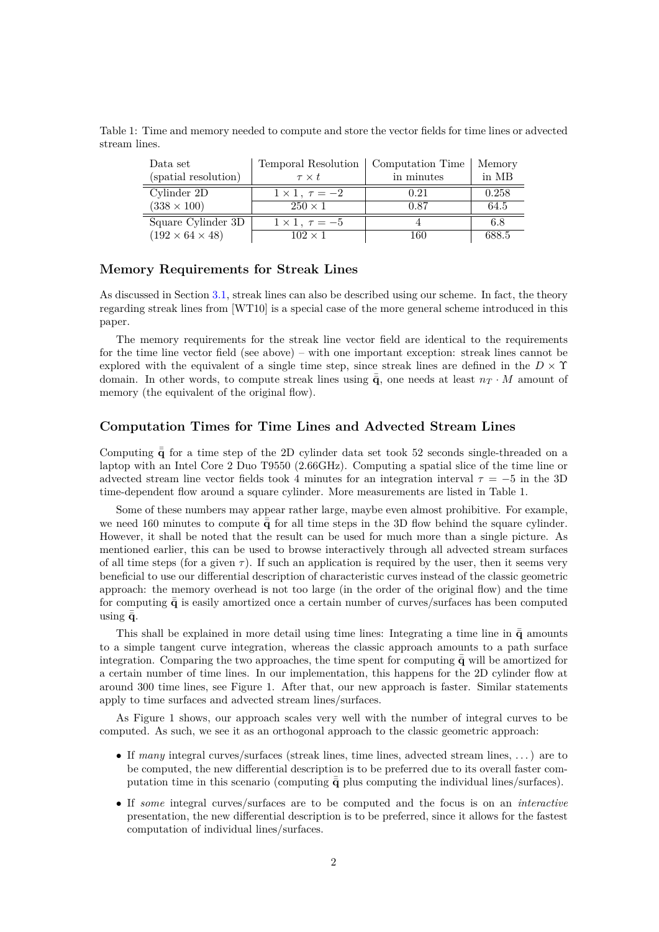Table 1: Time and memory needed to compute and store the vector fields for time lines or advected stream lines.

| Data set                    | Temporal Resolution        | Computation Time | Memory |
|-----------------------------|----------------------------|------------------|--------|
| (spatial resolution)        | $\tau \times t$            | in minutes       | in MB  |
| Cylinder 2D                 | $1 \times 1$ , $\tau = -2$ | 0.21             | 0.258  |
| $(338 \times 100)$          | $250 \times 1$             | 0.87             | 64.5   |
| Square Cylinder 3D          | $1 \times 1$ , $\tau = -5$ |                  | 6.8    |
| $(192 \times 64 \times 48)$ | $102 \times 1$             | 160              | 688.5  |

### **Memory Requirements for Streak Lines**

As discussed in Section 3.1, streak lines can also be described using our scheme. In fact, the theory regarding streak lines from [WT10] is a special case of the more general scheme introduced in this paper.

The memory requirements for the streak line vector field are identical to the requirements for the time line vector field (see above) – with one important exception: streak lines cannot be explored with the equivalent of a single time step, since streak lines are defined in the  $D \times \Upsilon$ domain. In other words, to compute streak lines using  $\bar{\bar{q}}$ , one needs at least  $n<sub>T</sub> \cdot M$  amount of memory (the equivalent of the original flow).

#### **Computation Times for Time Lines and Advected Stream Lines**

Computing  $\bar{\bar{q}}$  for a time step of the 2D cylinder data set took 52 seconds single-threaded on a laptop with an Intel Core 2 Duo T9550 (2.66GHz). Computing a spatial slice of the time line or advected stream line vector fields took 4 minutes for an integration interval  $\tau = -5$  in the 3D time-dependent flow around a square cylinder. More measurements are listed in Table 1.

Some of these numbers may appear rather large, maybe even almost prohibitive. For example, we need 160 minutes to compute  $\bar{q}$  for all time steps in the 3D flow behind the square cylinder. However, it shall be noted that the result can be used for much more than a single picture. As mentioned earlier, this can be used to browse interactively through all advected stream surfaces of all time steps (for a given  $\tau$ ). If such an application is required by the user, then it seems very beneficial to use our differential description of characteristic curves instead of the classic geometric approach: the memory overhead is not too large (in the order of the original flow) and the time for computing  $\bar{\bar{q}}$  is easily amortized once a certain number of curves/surfaces has been computed using  $\bar{q}$ .

This shall be explained in more detail using time lines: Integrating a time line in  $\bar{\bar{q}}$  amounts to a simple tangent curve integration, whereas the classic approach amounts to a path surface integration. Comparing the two approaches, the time spent for computing  $\bar{\bar{q}}$  will be amortized for a certain number of time lines. In our implementation, this happens for the 2D cylinder flow at around 300 time lines, see Figure 1. After that, our new approach is faster. Similar statements apply to time surfaces and advected stream lines/surfaces.

As Figure 1 shows, our approach scales very well with the number of integral curves to be computed. As such, we see it as an orthogonal approach to the classic geometric approach:

- If *many* integral curves/surfaces (streak lines, time lines, advected stream lines, . . . ) are to be computed, the new differential description is to be preferred due to its overall faster computation time in this scenario (computing  $\bar{\mathbf{q}}$  plus computing the individual lines/surfaces).
- If *some* integral curves/surfaces are to be computed and the focus is on an *interactive* presentation, the new differential description is to be preferred, since it allows for the fastest computation of individual lines/surfaces.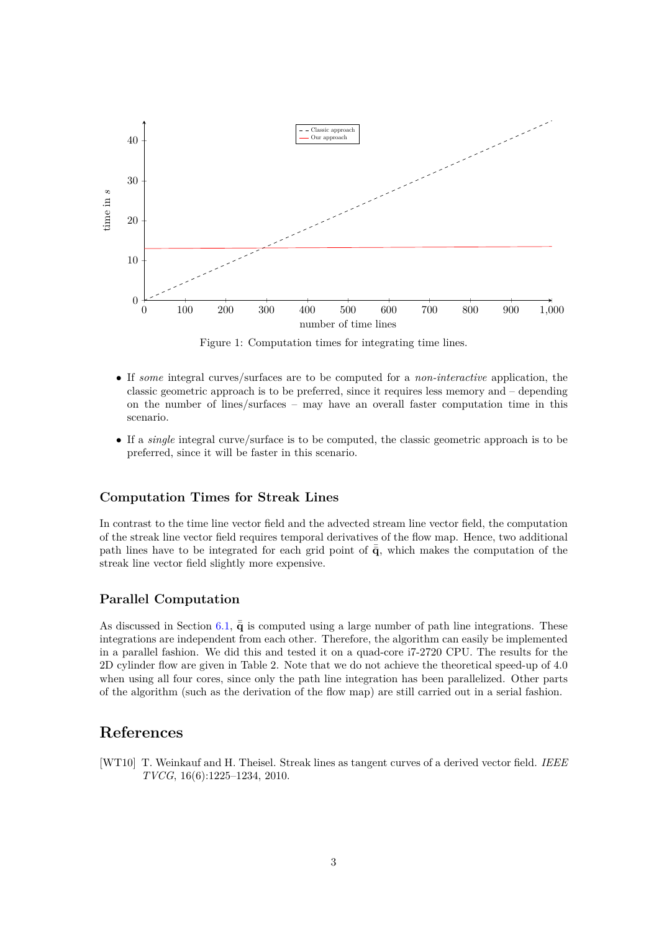

Figure 1: Computation times for integrating time lines.

- If *some* integral curves/surfaces are to be computed for a *non-interactive* application, the classic geometric approach is to be preferred, since it requires less memory and – depending on the number of lines/surfaces – may have an overall faster computation time in this scenario.
- If a *single* integral curve/surface is to be computed, the classic geometric approach is to be preferred, since it will be faster in this scenario.

#### **Computation Times for Streak Lines**

In contrast to the time line vector field and the advected stream line vector field, the computation of the streak line vector field requires temporal derivatives of the flow map. Hence, two additional path lines have to be integrated for each grid point of  $\bar{\mathbf{q}}$ , which makes the computation of the streak line vector field slightly more expensive.

#### **Parallel Computation**

As discussed in Section 6.1,  $\bar{\mathbf{q}}$  is computed using a large number of path line integrations. These integrations are independent from each other. Therefore, the algorithm can easily be implemented in a parallel fashion. We did this and tested it on a quad-core i7-2720 CPU. The results for the 2D cylinder flow are given in Table 2. Note that we do not achieve the theoretical speed-up of 4.0 when using all four cores, since only the path line integration has been parallelized. Other parts of the algorithm (such as the derivation of the flow map) are still carried out in a serial fashion.

## **References**

[WT10] T. Weinkauf and H. Theisel. Streak lines as tangent curves of a derived vector field. *IEEE TVCG*, 16(6):1225–1234, 2010.